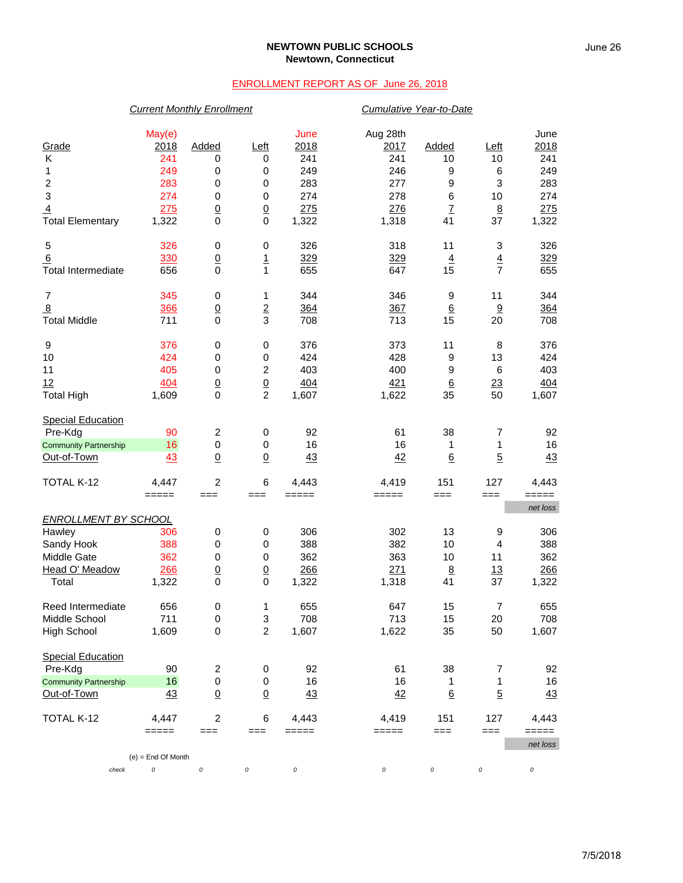## **NEWTOWN PUBLIC SCHOOLS Newtown, Connecticut**

## ENROLLMENT REPORT AS OF June 26, 2018

|                                                                                               | <b>Current Monthly Enrollment</b>                          |                                                                                    |                                                                                        |                                                          | <b>Cumulative Year-to-Date</b>                               |                                                    |                                       |                                                          |  |
|-----------------------------------------------------------------------------------------------|------------------------------------------------------------|------------------------------------------------------------------------------------|----------------------------------------------------------------------------------------|----------------------------------------------------------|--------------------------------------------------------------|----------------------------------------------------|---------------------------------------|----------------------------------------------------------|--|
| Grade<br>Κ<br>1<br>$\overline{\mathbf{c}}$<br>3<br>$\overline{4}$<br><b>Total Elementary</b>  | May(e)<br>2018<br>241<br>249<br>283<br>274<br>275<br>1,322 | Added<br>0<br>0<br>$\mathbf 0$<br>$\mathbf 0$<br>$\underline{0}$<br>$\overline{0}$ | Left<br>0<br>0<br>$\pmb{0}$<br>$\pmb{0}$<br>$\underline{0}$<br>$\mathbf 0$             | June<br>2018<br>241<br>249<br>283<br>274<br>275<br>1,322 | Aug 28th<br>2017<br>241<br>246<br>277<br>278<br>276<br>1,318 | Added<br>10<br>9<br>9<br>6<br>$\overline{1}$<br>41 | Left<br>10<br>6<br>3<br>10<br>8<br>37 | June<br>2018<br>241<br>249<br>283<br>274<br>275<br>1,322 |  |
| 5<br>6<br><b>Total Intermediate</b>                                                           | 326<br>330<br>656                                          | $\pmb{0}$<br>$\underline{0}$<br>$\mathbf 0$                                        | $\pmb{0}$<br>$\overline{1}$<br>$\mathbf{1}$                                            | 326<br>329<br>655                                        | 318<br>329<br>647                                            | 11<br>$\overline{4}$<br>15                         | 3<br>$\overline{4}$<br>$\overline{7}$ | 326<br><u>329</u><br>655                                 |  |
| 7<br>$\overline{8}$<br><b>Total Middle</b>                                                    | 345<br>366<br>711                                          | 0<br>$\underline{0}$<br>$\mathbf 0$                                                | 1<br>$\overline{2}$<br>$\overline{3}$                                                  | 344<br>364<br>708                                        | 346<br>367<br>713                                            | 9<br>$\underline{6}$<br>15                         | 11<br>9<br>20                         | 344<br>364<br>708                                        |  |
| 9<br>10<br>11<br>12<br><b>Total High</b>                                                      | 376<br>424<br>405<br>404<br>1,609                          | $\pmb{0}$<br>$\mathbf 0$<br>$\mathbf 0$<br>$\underline{0}$<br>$\Omega$             | $\pmb{0}$<br>$\pmb{0}$<br>$\overline{\mathbf{c}}$<br>$\underline{0}$<br>$\overline{c}$ | 376<br>424<br>403<br>404<br>1,607                        | 373<br>428<br>400<br>421<br>1,622                            | 11<br>9<br>9<br>$\underline{6}$<br>35              | 8<br>13<br>6<br>23<br>50              | 376<br>424<br>403<br>404<br>1,607                        |  |
| <b>Special Education</b><br>Pre-Kdg<br><b>Community Partnership</b><br>Out-of-Town            | 90<br>16<br>43                                             | $\overline{c}$<br>$\mathbf 0$<br>$\underline{0}$                                   | 0<br>0<br>$\underline{0}$                                                              | 92<br>16<br>43                                           | 61<br>16<br>42                                               | 38<br>1<br>6                                       | $\overline{7}$<br>1<br>$\overline{5}$ | 92<br>16<br>43                                           |  |
| TOTAL K-12                                                                                    | 4,447<br>=====                                             | $\overline{c}$<br>$==$                                                             | 6<br>===                                                                               | 4,443<br>=====                                           | 4,419<br>=====                                               | 151<br>$==$                                        | 127<br>$==$                           | 4,443<br>=====                                           |  |
| <b>ENROLLMENT BY SCHOOL</b><br>Hawley<br>Sandy Hook<br>Middle Gate<br>Head O' Meadow<br>Total | 306<br>388<br>362<br>266<br>1,322                          | $\pmb{0}$<br>$\mathbf 0$<br>$\mathbf 0$<br>$\underline{0}$<br>$\Omega$             | 0<br>$\pmb{0}$<br>$\pmb{0}$<br>$\underline{0}$<br>$\mathbf 0$                          | 306<br>388<br>362<br>266<br>1,322                        | 302<br>382<br>363<br>271<br>1,318                            | 13<br>10<br>10<br>8<br>41                          | 9<br>4<br>11<br>13<br>37              | net loss<br>306<br>388<br>362<br>266<br>1,322            |  |
| Reed Intermediate<br>Middle School<br><b>High School</b>                                      | 656<br>711<br>1,609                                        | 0<br>$\pmb{0}$<br>$\mathbf 0$                                                      | 1<br>3<br>$\overline{c}$                                                               | 655<br>708<br>1,607                                      | 647<br>713<br>1,622                                          | 15<br>15<br>35                                     | $\overline{7}$<br>20<br>50            | 655<br>708<br>1,607                                      |  |
| <b>Special Education</b><br>Pre-Kdg<br><b>Community Partnership</b><br>Out-of-Town            | 90<br>16<br>43                                             | 2<br>0<br>$\underline{0}$                                                          | 0<br>0<br>$\underline{0}$                                                              | 92<br>16<br>43                                           | 61<br>16<br>42                                               | 38<br>1<br>6                                       | 7<br>1<br>$\overline{5}$              | 92<br>16<br>$\frac{43}{5}$                               |  |
| TOTAL K-12<br>check                                                                           | 4,447<br>=====<br>$(e)$ = End Of Month<br>0                | $\overline{c}$<br>$==$<br>0                                                        | $\,6$<br>===<br>0                                                                      | 4,443<br>$=====$<br>0                                    | 4,419<br>=====<br>0                                          | 151<br>$==$<br>0                                   | 127<br>$==$<br>0                      | 4,443<br>=====<br>net loss<br>0                          |  |